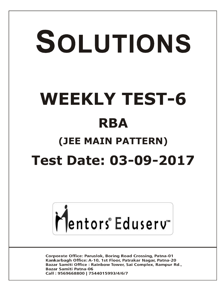# SOLUTIONS **WEEKLY TEST-6 RBA (JEE MAIN PATTERN) Test Date: 03-09-2017**



**Corporate Office: Paruslok, Boring Road Crossing, Patna-01** Kankarbagh Office: A-10, 1st Floor, Patrakar Nagar, Patna-20 Bazar Samiti Office: Rainbow Tower, Sai Complex, Rampur Rd., **Bazar Samiti Patna-06** Call: 9569668800 | 7544015993/4/6/7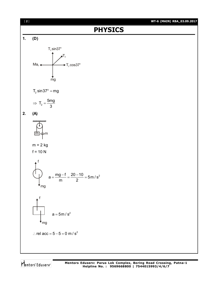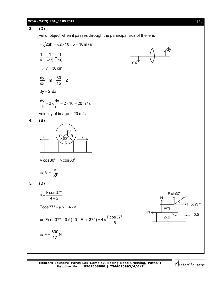# **WT-6 (MAIN) RBA\_03.09.2017** [ **3** ]

**3. (D)** vel of object when it passes through the parincipal axis of the lens  $=\sqrt{2gh} = \sqrt{2 \times 10 \times 5} = 10 \text{ m/s}$ 1 1 1 v 15 10  $-\frac{1}{45}$  = -- $\Rightarrow$  v = 30 cm  $\frac{dy}{dt} = m = \frac{30}{15} = 2$ dx 15  $= m = \frac{00}{15} = 2$  $dy = 2.dx$  $\frac{dy}{dx} = 2 \times \frac{dx}{dx} = 2 \times 10 = 20$  m / s dt dt  $=2\times\frac{dX}{dt}=2\times10=2$ velocity of image = 20 m/s **4. (B)** V

v R

 $V = \frac{V}{L}$ 

 $\Rightarrow$  V = -

 $V \cos 30^\circ = v \cos 60^\circ$ 

3

R

R  $60^\circ$ 

v

$$
5. (D)
$$

$$
a = \frac{F \cos 37^{\circ}}{4 + 2}
$$
  
\n
$$
F \cos 37^{\circ} - \mu N = 4 \times a
$$
  
\n
$$
\Rightarrow F \cos 37^{\circ} - 0.5(40 - F \sin 37^{\circ}) = 4 \times \frac{F \cos 37^{\circ}}{6}
$$
  
\n
$$
\Rightarrow F = \frac{600}{17} N
$$
  
\n
$$
F \cos 37^{\circ}
$$
  
\n
$$
\mu N \leftarrow 2kg
$$
  
\n
$$
\mu N \leftarrow 2kg
$$
  
\n
$$
\mu = 0.5
$$

dx

 $\left(\begin{array}{cc} & & \uparrow^{dy} \\ \hline \end{array}\right)$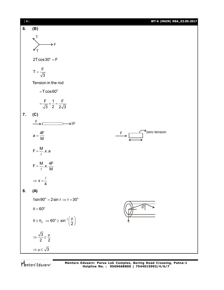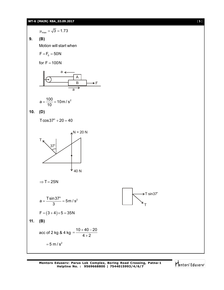#### **WT-6 (MAIN) RBA\_03.09.2017** [ **5** ]

$$
\mu_{\text{max}} = \sqrt{3} = 1.73
$$

**9. (B)**

Motion will start when

$$
F=F_{\scriptstyle\! 0}=50N
$$

for  $F = 100N$ 

$$
\begin{array}{c|c}\n & a \longleftarrow \\
 & A \\
\hline\n & B \\
\hline\n & a\n\end{array}
$$

$$
a = \frac{100}{10} = 10 \,\text{m/s}^2
$$

$$
10. (D)
$$

 $T\cos 37^{\circ} + 20 = 40$ 



 $\Rightarrow$  T = 25N

$$
a = \frac{T \sin 37^{\circ}}{3} = 5 \text{ m/s}^2
$$
  
F = (3 + 4) × 5 = 35N  
11. **(B)**  
acc of 2 kg & 4 kg =  $\frac{10 + 40 - 20}{4 + 2}$ 

 $= 5 \text{ m/s}^2$ 

**Mentors Eduserv: Parus Lok Complex, Boring Road Crossing, Patna-1 Helpline No. : 9569668800 | 7544015993/4/6/7**



T

 $\rightarrow$ T sin37°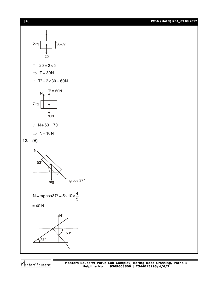

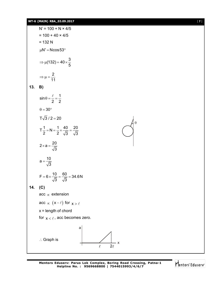$N' = 100 + N \times 4/5$  $= 100 + 40 \times 4/5$  $= 132 N$  $\mu$ N' = Ncos 53°  $(132) = 40 \times \frac{3}{5}$ 5  $\Rightarrow \mu(132) = 40 \times \frac{1}{2}$ 2 11  $\Rightarrow \mu = -$ **13. B)**  $\sin \theta = \frac{\ell}{2} = \frac{1}{2}$ 2 2  $\theta = \frac{\ell}{2} = \frac{\ell}{2}$  $\theta = 30^{\circ}$  $T\sqrt{3}/2 = 20$  $T\frac{1}{2}$  = N =  $\frac{1}{2}$  x  $\frac{40}{\sqrt{2}}$  =  $\frac{20}{\sqrt{2}}$ 2  $2\sqrt{3}\sqrt{3}$  $=N=\frac{1}{2}\times\frac{16}{\sqrt{2}}= \theta$  $2\times a = \frac{20}{\sqrt{2}}$ 3  $\times a =$  $a = \frac{10}{\sqrt{2}}$ 3  $=$  $F = 6 \times \frac{10}{\sqrt{2}} = \frac{60}{\sqrt{2}} = 34.6 \text{ N}$  $3\sqrt{3}$  $= 6 \times \frac{18}{\sqrt{2}} = \frac{38}{\sqrt{2}} = 3$ **14. (C)** acc  $\infty$  extension acc  $\propto$   $(x-\ell)$  for  $x > \ell$  $x =$  length of chord for  $x < \ell$ , acc becomes zero. ∴ Graph is a 2 x

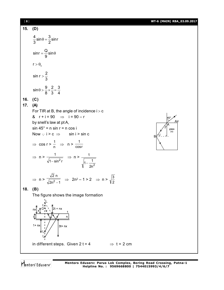| [8]        |                                                                                                                                                                                                                                                                                                                                                                                                                                                                                                                                                        | WT-6 (MAIN) RBA_03.09.2017 |
|------------|--------------------------------------------------------------------------------------------------------------------------------------------------------------------------------------------------------------------------------------------------------------------------------------------------------------------------------------------------------------------------------------------------------------------------------------------------------------------------------------------------------------------------------------------------------|----------------------------|
| 15.        | (D)                                                                                                                                                                                                                                                                                                                                                                                                                                                                                                                                                    |                            |
|            | $\frac{4}{3}$ sin $\theta = \frac{3}{2}$ sinr                                                                                                                                                                                                                                                                                                                                                                                                                                                                                                          |                            |
|            | $\sin r = \frac{Q}{9} \sin \theta$                                                                                                                                                                                                                                                                                                                                                                                                                                                                                                                     |                            |
|            | $r > \theta_c$                                                                                                                                                                                                                                                                                                                                                                                                                                                                                                                                         |                            |
|            | $sin r > \frac{2}{3}$                                                                                                                                                                                                                                                                                                                                                                                                                                                                                                                                  |                            |
|            | $\sin \theta > \frac{9}{8} \times \frac{2}{3} = \frac{3}{4}$                                                                                                                                                                                                                                                                                                                                                                                                                                                                                           |                            |
| 16.<br>17. | (C)<br>(A)<br>For TIR at B, the angle of incidence $i > c$<br>& $r + i = 90$ $\implies i = 90 - r$<br>by snell's law at pt A,<br>$sin 45^\circ = n sin r = n cos i$<br>Now $\cdot \cdot$ i > c $\Rightarrow$ sin i > sin c<br>$\Rightarrow$ cos r > $\frac{1}{n}$ $\Rightarrow$ n > $\frac{1}{\cos n}$<br>$\Rightarrow$ n > $\frac{1}{\sqrt{1-\sin^2 r}}$ $\Rightarrow$ n > $\frac{1}{\sqrt{1-\frac{1}{2n^2}}}$<br>$\Rightarrow$ n > $\frac{\sqrt{2} n}{\sqrt{2n^2 - 1}}$ $\Rightarrow$ 2n <sup>2</sup> - 1 > 2 $\Rightarrow$ n > $\sqrt{\frac{3}{2}}$ | Air<br>glass<br>(n)<br>в   |
| 18.        | (B)<br>The figure shows the image formation<br>$2t + nx$<br>nx<br>n.<br>$1 + nx$<br>$3t + nx$<br>¥                                                                                                                                                                                                                                                                                                                                                                                                                                                     |                            |
|            | in different steps. Given $2t = 4$<br>$\Rightarrow$ t = 2 cm                                                                                                                                                                                                                                                                                                                                                                                                                                                                                           |                            |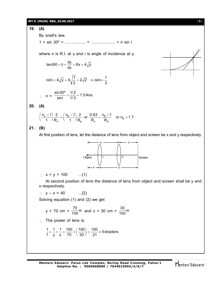#### **WT-6 (MAIN) RBA\_03.09.2017** [ **9** ]

# **19. (A)** By snell's law. 1 × sin 30º = .................. = ..................... = n sin i i where n is R.I. at y and i is angle of incidence at y.  $tan(90 - i) = \frac{dy}{dx} = 8x = 4\sqrt{y}$ dx coti =  $4\sqrt{y} = 4\sqrt{\frac{1}{2}} = 2\sqrt{2} \Rightarrow \sin i = \frac{1}{2}$ 2 3  $n = {sin30^{\circ} \over sini} = {1/2 \over 1/3} = 1.5$  Ans. sini 1/3 **20. (A)**  $\left(\frac{n_{A}-1}{1}\right)\frac{2}{R_{A}} = \left(\frac{n_{B}-1}{1}\right)\frac{2}{R_{B}}$  or  $\frac{0.63}{R_{A}} = \frac{n_{B}-1}{R_{B}}$  or  $n_{B} = 1$  $A \sim 1$   $\mu_B$   $\mu_A$   $\mu_B$  $\left(\frac{n_{\rm A}-1}{1\right)}\right)\frac{2}{n_{\rm B}} = \left(\frac{n_{\rm B}-1}{1\right)\frac{2}{n_{\rm B}}}$  or  $\frac{0.63}{n_{\rm B}} = \frac{n_{\rm B}-1}{n_{\rm B}}$  or  $n_{\rm B} = 1.7$ 1  $\overline{R}_{\rm A}$  (1  $\overline{R}_{\rm R}$  R<sub>A</sub> R **21. (B)** At first position of lens, let the distance of lens from object and screen be x and y respectively. y -----------------<mark>--</mark>------ x II Screen x -------------- y **Object**  $\therefore$  x + y = 100 ...(1) At second position of lens the distance of lens from object and screen shall be y and x respectively.

$$
\therefore y - x = 40 \qquad ...(2)
$$

Solving equation (1) and (2) we get

$$
y = 70
$$
 cm =  $\frac{70}{100}$ m and  $x = 30$  cm =  $\frac{30}{100}$ m

 $\therefore$  The power of lens is,

$$
\frac{1}{f} = \frac{1}{y} + \frac{1}{x} = \frac{100}{70} + \left(\frac{100}{30}\right) = \frac{100}{21} \approx 5 \text{ diopters}
$$

**Mentors Eduserv: Parus Lok Complex, Boring Road Crossing, Patna-1 Helpline No. : 9569668800 | 7544015993/4/6/7**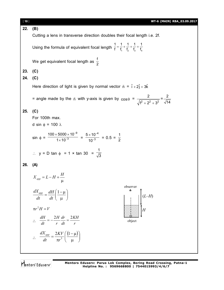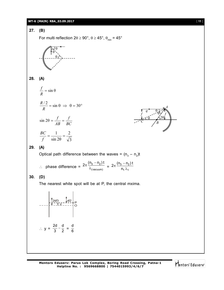#### **WT-6 (MAIN) RBA\_03.09.2017** [ **11** ]



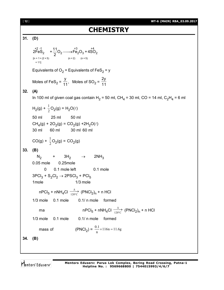```
[ 12 ] WT-6 (MAIN) RBA_03.09.2017
                                           CHEMISTRY
31. (D)
      [n = 1 + (2 \times 5)]= 111+2 -1 +3 +4
       2FeS_2 + \frac{11}{2}O_2 - \rightarrow Fe<sub>2</sub>O<sub>3</sub> + 4SO<sub>2</sub>
                    2
                          \longrightarrowEquivalents of O_2 = Equivalents of FeS_2 = y
      Moles of FeS_2 =
                           y
                          \frac{1}{11}, Moles of SO<sub>2</sub> =
                                                    2y
                                                    11
32. (A)
      In 100 ml of given coal gas contain H_2 = 50 ml, CH_4 = 30 ml, CO = 14 ml, C_2H_4 = 6 ml
      H_2(g) + \frac{1}{2}O_2(g) = H_2O(\ell)50 ml 25 ml 50 ml
      CH_4(g) + 2O_2(g) = CO_2(g) + 2H_2O(\ell)30 ml 60 ml 30 ml 60 ml
      CO(g) + \frac{1}{2}O_2(g) = CO_2(g)33. (B)
      \mathsf{N}_2 + 3H<sub>2</sub> \rightarrow 2NH<sub>3</sub>
      0.05 mole 0.25mole
             0 0.1 mole left 0.1 mole
      3{\text{PCl}}_3 + {\text{S}}_2{\text{Cl}}_2 \rightarrow 2{\text{P}\text{SCl}}_3 + {\text{PCl}}_51mole 1/3 mole
           nPCl_5 + nNH_4Cl \xrightarrow[120°C]{\sim}Δ
                               \frac{120^{\circ}C}{120^{\circ}C} (PNCl<sub>2</sub>)<sub>n</sub> + n HCl
      1/3 mole 0.1 mole 0.1/ n mole formed
           ma nPCl_5 + nNH_4Cl \xrightarrow[120^{\circ}C]{}Δ
                                                           \frac{120^{\circ}C}{120^{\circ}C} (PNCl<sub>2</sub>)<sub>n</sub> + n HCl
      1/3 mole 0.1 mole 0.1/ n mole formed
           mass of (PNCl<sub>2</sub>) = \frac{0.1}{n} \times 116n = 11.6g34. (B)
```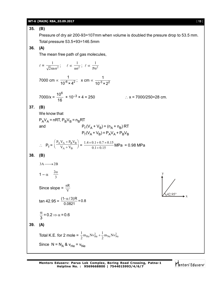35. (B)  
\nPressure of dry air 200-93=107mm when volume is doubled the pressure drop to 53.5 mm.  
\n36. (A)  
\n37. (B)  
\nThe mean free path of gas molecules,  
\n
$$
\ell = \frac{1}{\sqrt{2\pi n \sigma^2}}; \quad \ell \propto \frac{1}{n\sigma^2}; \quad \ell \propto \frac{1}{p\sigma^2}
$$
\n7000 cm  $\propto \frac{1}{10^6 \times 4^2}$ ; x cm  $\propto \frac{1}{10^3 \times 2^2}$   
\n70000 m  $\propto \frac{1}{16^6} \times 10^{-3} \times 4 = 250$   $\therefore \quad x = 7000/250 = 28$  cm.  
\n37. (B)  
\nWe know that  
\n $P_A V_A = nRT, P_B V_B = n_B RT$   
\nand  
\n $P_f (V_A + V_B) = (n_A + n_B) RT$   
\nand  
\n $P_f (V_A + V_B) = P_A V_A + P_B V_B$   
\n $\therefore P_f = \left(\frac{P_A V_A + P_B V_B}{V_A + V_B}\right) = \frac{1.4 \times 0.1 + 0.7 \times 0.15}{0.1 + 0.15}$  MPa = 0.98 MPa  
\n38. (B)  
\n3A  $\longrightarrow$  2B  
\n $1 - \alpha = \frac{2\alpha}{3}$   
\nSince slope =  $\frac{nR}{V}$   
\n $\tan 42.95 = \frac{(1 - \alpha/3)R}{0.0821} = 0.8$   
\n39. (A)  
\nTotal K.E. for 2 mole =  $\frac{1}{2} m_{Hx} N v_{Hx}^2 + \frac{1}{2} m_{Nx} N v_{Xx}^2$   
\nSince N = N<sub>A</sub> & V<sub>H</sub> = V<sub>N</sub>e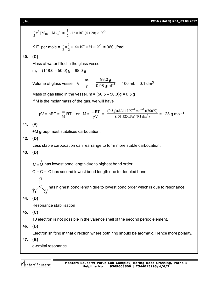```
[ 14 ] WT-6 (MAIN) RBA_03.09.2017
```
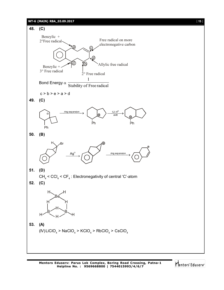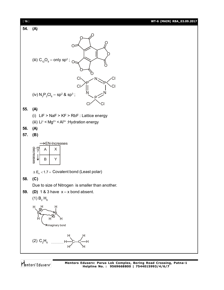

**55. (A)**

**54. (A)**

- (i) LiF > NaF > KF > RbF : Lattice energy
- (iii)  $Li^*$  < Mg<sup>2+</sup> < Al<sup>3+</sup> : Hydration energy

**56. (A)**

**57. (B)**

 $\times$  $\rightarrow$ EN-Increases



 $\Delta$  E<sub>n</sub> < 1.7 = Covalent bond (Least polar)

#### **58. (C)**

Due to size of Nitrogen is smaller than another.

H

**59. (D)** 1 & 3 have x – x bond absent.



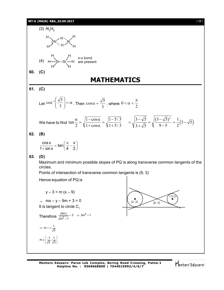

**Mentors Eduserv: Parus Lok Complex, Boring Road Crossing, Patna-1 Helpline No. : 9569668800 | 7544015993/4/6/7**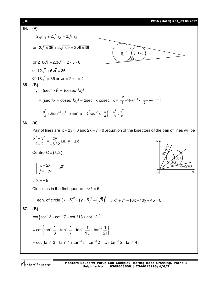64. (A)  
\n
$$
\therefore 2\sqrt{r_1r_1} + 2\sqrt{r_2} = 2\sqrt{r_1r_2}
$$
\nor  $2\sqrt{r \times 36} + 2\sqrt{r \times 9} = 2\sqrt{9 \times 36}$   
\nor  $2.6\sqrt{r} + 2.3\sqrt{r} = 2 \times 3 \times 6$   
\nor  $12\sqrt{r} + 6\sqrt{r} = 36$   
\nor  $18\sqrt{r} = 36$  or  $\sqrt{r} = 2$   $\therefore r = 4$   
\n65. (B)  
\n
$$
y = (sec^{-1}x) + cosec^{-1}x^2
$$
\n
$$
= (sec^{-1}x + cosec^{-1}x)^2 - 2sec^{-1}x \csc^{-1}x = \frac{\pi^2}{4} - 2(sec^{-1}x)\left(\frac{\pi}{2} - sec^{-1}x\right)
$$
\n
$$
= \frac{\pi^2}{4} + 2(sec^{-1}x)^2 - \pi sec^{-1}x = 2\left(sec^{-1}x - \frac{\pi}{4}\right)^2 + \frac{\pi^2}{8} \ge \frac{\pi^2}{8}
$$
\n66. (A)  
\nPair of lines are  $x - 2y = 0$  and  $2x - y = 0$ , equation of the bisectors of the pair of lines will be  $\frac{x^2 - y^2}{2 - 2} = \frac{xy}{-5/2}$  i.e.  $y = \pm x$ 

Centre  $C = (\lambda, \lambda)$ 

$$
\therefore \left| \frac{\lambda - 2\lambda}{\sqrt{1^2 + 2^2}} \right| = \sqrt{5}
$$

 $\therefore \lambda = \pm 5$ 

Circle lies in the first quadrant  $\therefore \lambda = 5$ 

∴ eqn. of circle 
$$
(x-5)^2 + (y-5)^2 = (\sqrt{5})^2 \Rightarrow x^2 + y^2 - 10x - 10y + 45 = 0
$$

$$
67. (B)
$$

$$
\cot \left\{ \cot^{-1} 3 + \cot^{-1} 7 + \cot^{-1} 13 + \cot^{-1} 21 \right\}
$$
\n
$$
= \cot \left\{ \tan^{-1} \frac{1}{3} + \tan^{-1} \frac{1}{7} + \tan^{-1} \frac{1}{13} + \tan^{-1} \frac{1}{21} \right\}
$$
\n
$$
= \cot \left\{ \tan^{-1} 2 - \tan^{-1} 1 + \tan^{-1} 3 - \tan^{-1} 2 + \dots + \tan^{-1} 5 - \tan^{-1} 4 \right\}
$$

Mentors Eduserv

 $\overbrace{x-2y=0}^{\overbrace{x-2y=0}}$ 

C  $(\lambda ,$   $\lambda)$ 

/5

O x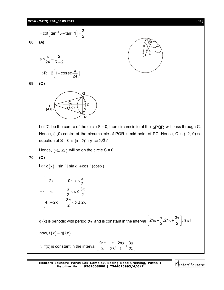# **WT-6 (MAIN) RBA\_03.09.2017**

|     | $= \cot \left[ \tan^{-1} 5 - \tan^{-1} 1 \right] = \frac{3}{2}$                                                                                               |
|-----|---------------------------------------------------------------------------------------------------------------------------------------------------------------|
| 68. | (A)                                                                                                                                                           |
|     |                                                                                                                                                               |
|     |                                                                                                                                                               |
|     | $\sin \frac{\pi}{24} = \frac{2}{R-2}$                                                                                                                         |
|     |                                                                                                                                                               |
|     | $\Rightarrow R = 2\left(1 + \csc{\frac{\pi}{24}}\right)$                                                                                                      |
| 69. | (C)                                                                                                                                                           |
|     | Q<br>Ć,<br>С<br>$P$ <sub>(4,0)</sub><br>(1, 0)<br>R                                                                                                           |
|     | Let 'C' be the centre of the circle S = 0, then circumcircle of the $\triangle PQR$ will pass through C.                                                      |
|     |                                                                                                                                                               |
|     | Hence, $(1,0)$ centre of the circumcircle of PQR is mid-point of PC. Hence, C is $(-2, 0)$ so                                                                 |
|     | equation of S = 0 is $(x+2)^2 + y^2 = (2\sqrt{3})^2$ ,                                                                                                        |
|     | Hence, $(-5,\sqrt{3})$ will be on the circle S = 0                                                                                                            |
| 70. | (C)                                                                                                                                                           |
|     | Let $g(x) = \sin^{-1}  \sin x  + \cos^{-1}(\cos x)$                                                                                                           |
|     | 2x ; $0 \le x \le \frac{\pi}{2}$<br>= $\begin{cases} \pi & ; \frac{\pi}{2} < x \leq \frac{3\pi}{2} \\ 4\pi - 2x & ; \frac{3\pi}{2} < x \leq 2\pi \end{cases}$ |
|     | g (x) is periodic with period $2\pi$ and is constant in the interval $\left  2n\pi + \frac{\pi}{2}, 2n\pi + \frac{3\pi}{2} \right $ , $n \in I$               |
|     | now, $f(x) = g(\lambda x)$                                                                                                                                    |
|     | :. $f(x)$ is constant in the interval $\left \frac{2n\pi}{\lambda}+\frac{\pi}{2\lambda},\frac{2n\pi}{\lambda}+\frac{3\pi}{2\lambda}\right $                   |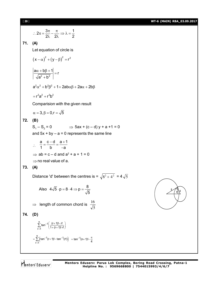[ **20** ] **WT-6 (MAIN) RBA\_03.09.2017**

$$
\therefore\ 2\pi=\frac{3\pi}{2\lambda}-\frac{\pi}{2\lambda}\Rightarrow\lambda=\frac{1}{2}
$$

#### **71. (A)**

Let equation of circle is

$$
(x-\alpha)^2 + (y-\beta)^2 = r^2
$$

 $2 + h^2$  $\left| \frac{a\alpha + b\beta + 1}{\sqrt{a^2 + b^2}} \right| = r$  $a^2 + b^2$  $\left| \frac{\alpha + b\beta + 1}{\sqrt{a^2 + b^2}} \right| =$  $\ddot{}$ 

 $a^2\alpha^2 + b^2\beta^2 + 1 + 2ab\alpha\beta + 2a\alpha + 2b\beta$ 

$$
= r^2 a^2 + r^2 b^2
$$

Comparision with the given result

$$
\alpha=3, \beta=0, r=\sqrt{5}
$$

# **72. (B)**

 $S_1 - S_2 = 0$   $\implies$  5ax + (c – d) y + a +1 = 0

and  $5x + by - a = 0$  represents the same line

$$
\therefore \frac{a}{1} = \frac{c - d}{b} = \frac{a + 1}{-a}
$$
  
\n
$$
\Rightarrow ab = c - d \text{ and } a^2 + a + 1 = 0
$$
  
\n
$$
\Rightarrow \text{no real value of } a.
$$

### **73. (A)**

Distance 'd' between the centres is =  $\sqrt{8^2 + 4^2}$  = 4 $\sqrt{5}$ 

Also 
$$
4\sqrt{5} \cdot p = 8 \cdot 4 \Rightarrow p = \frac{8}{\sqrt{5}}
$$

$$
\Rightarrow \text{ length of common chord is } \frac{16}{\sqrt{5}}
$$

$$
74. (D)
$$

$$
\sum_{r=1}^{n} \tan^{-1} \left( \frac{(r+1)! - r!}{1 + (r+1)! \cdot r!} \right)
$$
  
= 
$$
\sum_{r=1}^{n} \left( \tan^{-1} (r+1)! - \tan^{-1} (r!) \right) = \tan^{-1} (n+1)! - \frac{\pi}{4}
$$

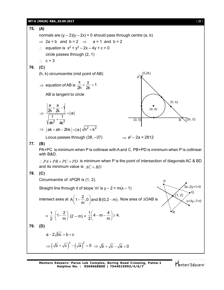# **WT-6 (MAIN) RBA\_03.09.2017** [ **21** ]

**75. (A)** normals are (y – 2)(y – 2x) = 0 should pass through centre (a, b) 2a = b and b = 2 a = 1 and b = 2 equation is x<sup>2</sup> + y<sup>2</sup> – 2x – 4y + c = 0 circle passes through (2, 1) c = 3 **76. (C)** (h, k) circumcentre (mid point of AB) equation of AB is x y <sup>1</sup> 2h 2k AB is tangent to circle 2 2 a a <sup>1</sup> 2h 2k |a| 1 1 4h 4k (h, k) (0, 0) B (2h, 0) (a, a) (0,2k) A 2 2 ak ah 2hk | a | h k Locus passes through (38, –37) a 2 – 2a = 2812 **77. (B)** PA+PC is minimum when P is collinear with A and C. PB+PD is minimum when P is collinear with B&D. *PA PB PC PD* is minimum when P is the point of intersection of diagonals AC & BD and its minimum value is *AC BD* **78. (C)** Circumcentre of PQR is (1, 2). <sup>P</sup> Q R (1, 2) x+3y–7=0 3x–2y+1=0 Straight line through it of slope 'm' is y – 2 = m(x – 1) intersect axes at <sup>2</sup> A 1 ,0 and B(0,2 m) m . Now area of OAB is = 1 2 2 1 m (2 – m) = 1 4 4 m 4. 2 m **79. (D)** a 2 bc b c 2 2 b c a 0 b c a 0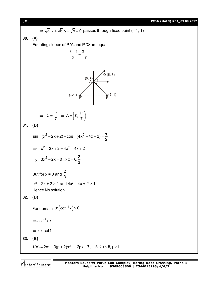[ **22** ] **WT-6 (MAIN) RBA\_03.09.2017**  $\Rightarrow \sqrt{a} x + \sqrt{b} y + \sqrt{c} = 0$  passes through fixed point (– 1, 1) **80. (A)** Equating slopes of P 'A and P 'Q are equal  $1 \quad 3 - 1$ 2 7  $\frac{\lambda - 1}{2} = \frac{3 - 1}{7}$  $(0, \lambda)$  $(-2, 1)$  ■ A  $\check{\mathsf{P}}'$   $\qquad \qquad \qquad \check{\mathsf{P}}$  $Q(5, 3)$  $(2, 1)$  $\Rightarrow \lambda = \frac{11}{7} \Rightarrow A = \left(0, \frac{11}{7}\right)$  $\lambda = \frac{11}{7} \Rightarrow A = \left(0, \frac{11}{7}\right)$ **81. (D)**  $\sin^{-1}(x^2 - 2x + 2) + \cos^{-1}(4x^2 - 4x + 2)$ 2  $x^{-1}(x^2-2x+2)+\cos^{-1}(4x^2-4x+2)=\frac{\pi}{2}$  $\implies x^2 - 2x + 2 = 4x^2 - 4x + 2$  $\Rightarrow$  3x<sup>2</sup> - 2x = 0  $\Rightarrow$  x = 0,  $\frac{2}{3}$ 3  $-2x=0 \Rightarrow x=0$ But for x = 0 and 2 3  $x^2 - 2x + 2 > 1$  and  $4x^2 - 4x + 2 > 1$ Hence No solution **82. (D)** For domain  $\ln(\cot^{-1} x)$  > 0  $\Rightarrow$  cot<sup>-1</sup> x > 1  $\Rightarrow$  x < cot1 **83. (B)**  $f(x) = 2x^3 - 3(p + 2)x^2 + 12px - 7$ ,  $-5 \le p \le 5$ ,  $p \in I$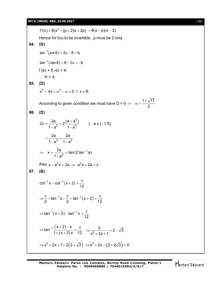$f'(x) = 6(x^2 - (p + 2)x + 2p) = 6(x - p)(x - 2)$ Hence for  $f(x)$  to be invertible, p must be 2 only **84. (D)**  $\sin^{-1}(\sin 8) = 3\pi - 8 = b$  $\tan^{-1}(\tan 8) = 8 - 3\pi = -b$  $f (b) + f(-b) = K$  $K = 4$ **85. (D)**  $x^{2}$  + 4x +  $\alpha^{2}$  –  $\alpha \ge 0 \ \forall \ x \in R$ According to given condition we must have D = 0  $\Rightarrow$   $\alpha = \frac{1 \pm \sqrt{17}}{2}$  $\Rightarrow \alpha = \frac{1\pm\pi}{2}$ **86. (D)** 3  $2x = {2a \over 1-a^2} + 2{(a+a^3) \over 1-a^4}$   $(\because a \notin \{-1,1\})$  $1 - a^2$   $1 - a^2$  $=\frac{2a}{a^{2}}+2\frac{(a+a^{3})}{a}$  (:  $a \notin \{-1\}$ – a<sup>∠</sup> 1 – ≀  $=\frac{1}{1 \cdot 2^2} + \frac{1}{1 \cdot 2^2}$ 2a 2a  $1 - a^2$   $1 - a^2$  $=\frac{2a}{2} + -$ – a<sup>∠</sup> 1–a 1  $x = \frac{2a}{1-a^2} = \tan(2 \tan^{-1} a)$  $1 - a^2$  $\Rightarrow x = \frac{2d}{2} = \tan(2 \tan^{-1} \theta)$  $\overline{a}$ Also  $x - a^2x = 2a \implies a^2x + 2a = x$ **87. (B)**  $\cot^{-1} x - \cot^{-1} (x + 2)$ 12  $x^{-1}$ x – cot<sup>-1</sup>(x+2) =  $\frac{\pi}{46}$  $\tan^{-1} x - \frac{\pi}{2} + \tan^{-1}(x + 2)$ 2  $2^{12}$  2  $(11)^{12}$  12  $\Rightarrow \frac{\pi}{6}$  - tan<sup>-1</sup> x -  $\frac{\pi}{6}$  + tan<sup>-1</sup>(x + 2) =  $\frac{\pi}{16}$  $\tan^{-1}(x+2) - \tan^{-1}x$ 12  $\Rightarrow$  tan<sup>-1</sup>(x+2) - tan<sup>-1</sup> x =  $\frac{\pi}{46}$  $(x+2)$  $(x+2)$  $tan^{-1} \frac{(x+2)-x}{(x+2)-x}$  $1+(x+2)x$  12 ⇒  $\tan^{-1}\frac{(x+2)-x}{1+(x+2)x} = \frac{\pi}{12}$  ⇒  $\frac{}{x^2}$  $\frac{2}{2}$  = 2 -  $\sqrt{3}$  $x^2 + 2x + 1$  $\Rightarrow \frac{2}{2}$  = 2 - $+2x+1$  $\Rightarrow$  x<sup>2</sup> + 2x + 1 = 2(2 +  $\sqrt{3}$ )  $\Rightarrow$  x<sup>2</sup> + 2x - (3 + 2 $\sqrt{3}$ ) = 0